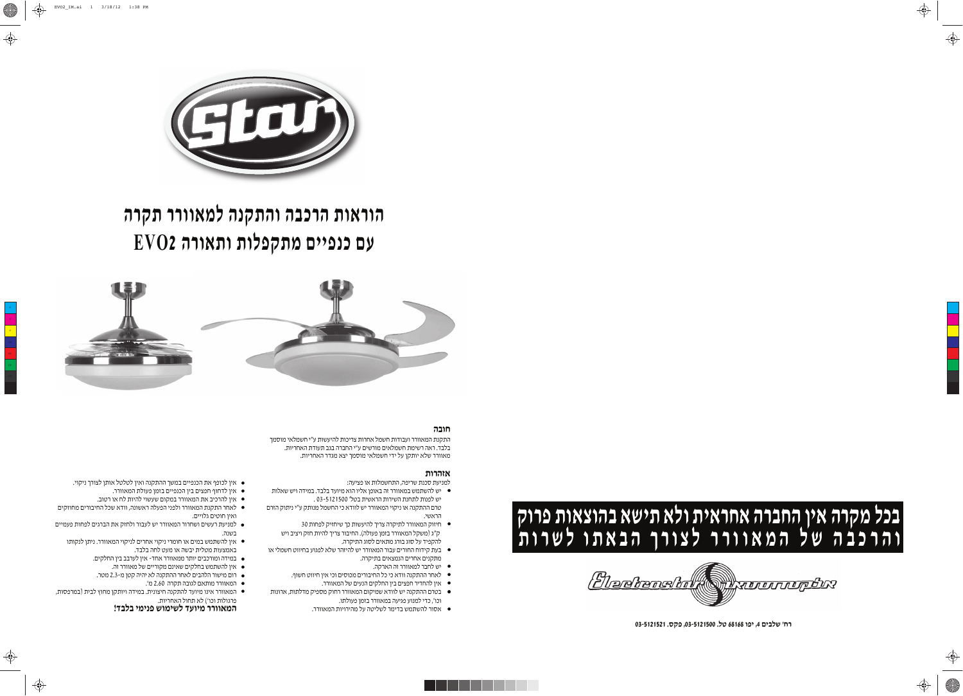

Bledtanskol **ATLETTINGSKY** 

**03-5121521 .ĝģĠ ,03-5121500 .ĘĔ 68168 đĠĕ ,4 ęĕčĘĥ 'ēĤ**





# הוראות הרכבה והתקנה למאוורר תקרה **EVO2 ĐĤđČĦđ ĦđĘĠģĦĚ ęĕĕĠĜė ęĞ**





# תובה

התקנת המאוורר ועבודות חשמל אחרות צריכות להיעשות ע"י חשמלאי מוסמך בלבד. ראה רשימת חשמלאים מורשים ע"י החברה בגב תעודת האחריות. מאוורר שלא יותקן על ידי חשמלאי מוסמך יצא מגדר האחריות.

### אזהרות

- למניעת סכנת שריפה, התחשמלות או פציעה:
- שלהשתמש במאוורר זה באופן אליו הוא מיועד בלבד. במידה ויש שאלות  $\bullet$ יש לפנות לתחנת השירות הראשית בטל׳ 5121500 . טרם ההתקנה או ניקוי המאוורר יש לוודא כי החשמל מנותק ע"י ניתוק הזרם
- הראשי.  $\bullet$  חיזוק המאוורר לתיקרה צריך להיעשות כך שיחזיק לפחות 30
- ק"ג (משקל המאוורר בזמן פעולה). החיבור צריך להיות חזק ויציב ויש להקפיד על סוג בורג מתאים לסוג התיקרה.
- בעת קידוח החורים עבור המאוורר יש להיזהר שלא לפגוע בחיווט חשמלי או  $\bullet$ מתקנים אחרים הנמצאים בתיקרה.
	- יש לחבר למאוורר זה הארקה.
	- לאחר ההתקנה וודא כי כל החיבורים מכוסים וכי אין חיווט חשוף.  $\bullet$ 
		- $\bullet$  אין להחדיר חפצים בין החלקים הנעים של המאוורר.
- שרכום ההתקנה יש לוודא שמיקום המאוורר רחוק מספיק מדלתות, ארונות  $\bullet$ . וכו׳, כדי למנוע פגיעה במאוורר בזמן פעולתו
	- אסור להשתמש בדימר לשליטה על מהירויות המאוורר.
- $\bullet$  אין לכופף את הכנפיים במשך ההתקנה ואין לטלטל אותן לצורך ניקוי.
	- אין לדחוף חפצים בין הכנפיים בזמן פעולת המאוורר. ●
	- י מין להרכיב את המאוורר במקום שעשוי להיות לח או רטוב.
- לאחר התקנת המאוורר ולפני הפעלה ראשונה, וודא שכל החיבורים מחוזקים  $\bullet$ ואין חוטים גלויים.
- למניעת רעשים ושחרור המאוורר יש לעבור ולחזק את הברגים לפחות פעמיים  $\bullet$ בשנה.
- אין להשתמש במים או חומרי ניקוי אחרים לניקוי המאוורר. ניתן לנקותו  $\bullet$ באמצעות מטלית יבשה או מעט לחה בלבד.
	- במידה ומורכבים יותר ממאוורר אחד- אין לערבב בין החלקים.
		- ה אין להשתמש בחלקים שאינם מקוריים של מאוורר זה.  $\bullet$
	- ום מישור הלהבים לאחר ההתקנה לא יהיה קטן מ-2.3 מטר.
		- המאוורר מותאם לגובה תקרה 2.60 מ'.
- המאוורר אינו מיועד להתקנה חיצונית. במידה ויותקן מחוץ לבית (במרפסות, " פרגולות וכו') לא תחול האחריות.

# **המאוורר מיועד לשימוש פנימי בלבד!**

Y

⊕



♦